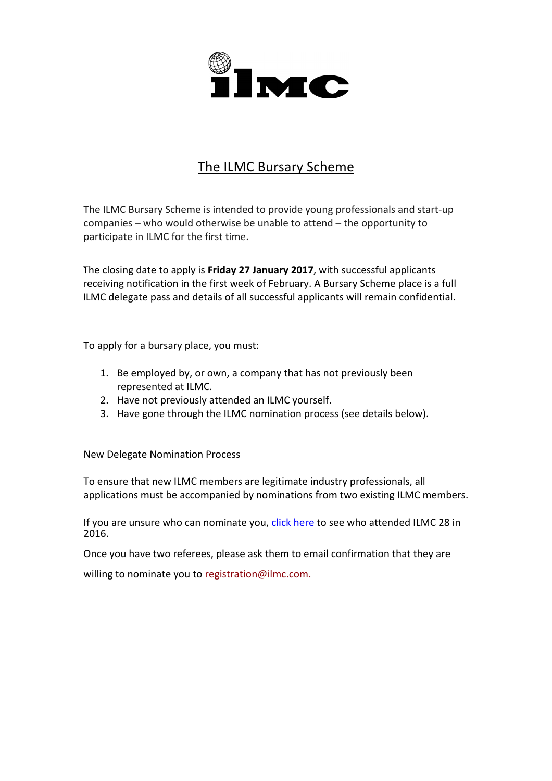

## The ILMC Bursary Scheme

The ILMC Bursary Scheme is intended to provide young professionals and start-up companies  $-$  who would otherwise be unable to attend  $-$  the opportunity to participate in ILMC for the first time.

The closing date to apply is **Friday 27 January 2017**, with successful applicants receiving notification in the first week of February. A Bursary Scheme place is a full ILMC delegate pass and details of all successful applicants will remain confidential.

To apply for a bursary place, you must:

- 1. Be employed by, or own, a company that has not previously been represented at ILMC.
- 2. Have not previously attended an ILMC yourself.
- 3. Have gone through the ILMC nomination process (see details below).

## New Delegate Nomination Process

To ensure that new ILMC members are legitimate industry professionals, all applications must be accompanied by nominations from two existing ILMC members.

If you are unsure who can nominate you, click here to see who attended ILMC 28 in 2016. 

Once you have two referees, please ask them to email confirmation that they are

willing to nominate you to registration@ilmc.com.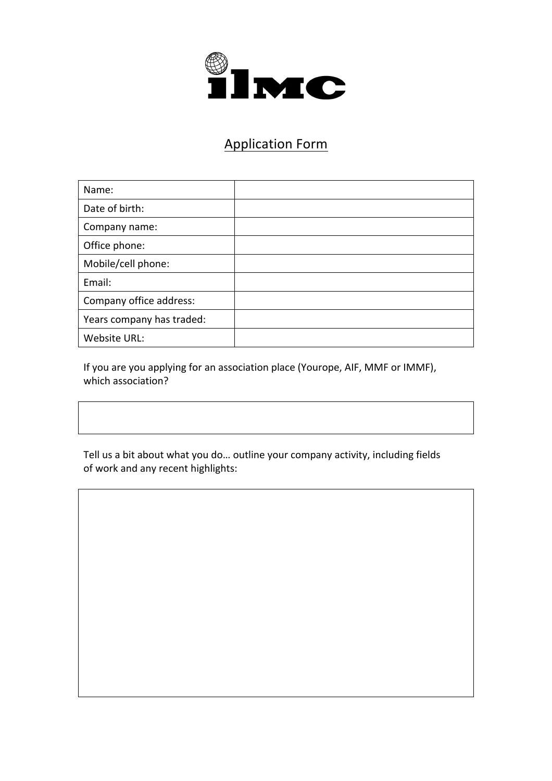

## Application Form

| Name:                     |  |
|---------------------------|--|
| Date of birth:            |  |
| Company name:             |  |
| Office phone:             |  |
| Mobile/cell phone:        |  |
| Email:                    |  |
| Company office address:   |  |
| Years company has traded: |  |
| Website URL:              |  |

If you are you applying for an association place (Yourope, AIF, MMF or IMMF), which association?

Tell us a bit about what you do... outline your company activity, including fields of work and any recent highlights: